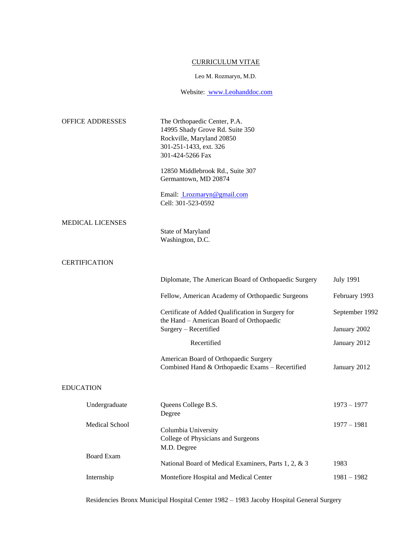# CURRICULUM VITAE

#### Leo M. Rozmaryn, M.D.

Website[:](http://www.leohanddoc.com/) [www.Leohanddoc.com](http://www.leohanddoc.com/)

| OFFICE ADDRESSES        | The Orthopaedic Center, P.A.<br>14995 Shady Grove Rd. Suite 350<br>Rockville, Maryland 20850<br>301-251-1433, ext. 326<br>301-424-5266 Fax |                  |
|-------------------------|--------------------------------------------------------------------------------------------------------------------------------------------|------------------|
|                         | 12850 Middlebrook Rd., Suite 307<br>Germantown, MD 20874                                                                                   |                  |
|                         | Email: <i>Lrozmaryn@gmail.com</i><br>Cell: 301-523-0592                                                                                    |                  |
| <b>MEDICAL LICENSES</b> | State of Maryland<br>Washington, D.C.                                                                                                      |                  |
| <b>CERTIFICATION</b>    |                                                                                                                                            |                  |
|                         | Diplomate, The American Board of Orthopaedic Surgery                                                                                       | <b>July 1991</b> |
|                         | Fellow, American Academy of Orthopaedic Surgeons                                                                                           | February 1993    |
|                         | Certificate of Added Qualification in Surgery for<br>the Hand - American Board of Orthopaedic                                              | September 1992   |
|                         | Surgery - Recertified                                                                                                                      | January 2002     |
|                         | Recertified                                                                                                                                | January 2012     |
|                         | American Board of Orthopaedic Surgery<br>Combined Hand & Orthopaedic Exams - Recertified                                                   | January 2012     |
| <b>EDUCATION</b>        |                                                                                                                                            |                  |
| Undergraduate           | Queens College B.S.<br>Degree                                                                                                              | $1973 - 1977$    |
| Medical School          | Columbia University<br>College of Physicians and Surgeons<br>M.D. Degree                                                                   | $1977 - 1981$    |
| <b>Board Exam</b>       | National Board of Medical Examiners, Parts 1, 2, & 3                                                                                       | 1983             |
| Internship              | Montefiore Hospital and Medical Center                                                                                                     | $1981 - 1982$    |
|                         |                                                                                                                                            |                  |

Residencies Bronx Municipal Hospital Center 1982 – 1983 Jacoby Hospital General Surgery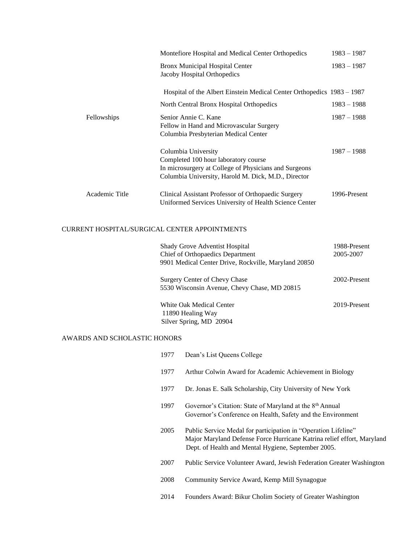|                | Montefiore Hospital and Medical Center Orthopedics                                                                                                                          | $1983 - 1987$ |
|----------------|-----------------------------------------------------------------------------------------------------------------------------------------------------------------------------|---------------|
|                | Bronx Municipal Hospital Center<br>Jacoby Hospital Orthopedics                                                                                                              | $1983 - 1987$ |
|                | Hospital of the Albert Einstein Medical Center Orthopedics 1983 – 1987                                                                                                      |               |
|                | North Central Bronx Hospital Orthopedics                                                                                                                                    | $1983 - 1988$ |
| Fellowships    | Senior Annie C. Kane<br>Fellow in Hand and Microvascular Surgery<br>Columbia Presbyterian Medical Center                                                                    | $1987 - 1988$ |
|                | Columbia University<br>Completed 100 hour laboratory course<br>In microsurgery at College of Physicians and Surgeons<br>Columbia University, Harold M. Dick, M.D., Director | $1987 - 1988$ |
| Academic Title | Clinical Assistant Professor of Orthopaedic Surgery<br>Uniformed Services University of Health Science Center                                                               | 1996-Present  |

## CURRENT HOSPITAL/SURGICAL CENTER APPOINTMENTS

| <b>Shady Grove Adventist Hospital</b><br>Chief of Orthopaedics Department<br>9901 Medical Center Drive, Rockville, Maryland 20850 | 1988-Present<br>2005-2007 |
|-----------------------------------------------------------------------------------------------------------------------------------|---------------------------|
| Surgery Center of Chevy Chase<br>5530 Wisconsin Avenue, Chevy Chase, MD 20815                                                     | 2002-Present              |
| White Oak Medical Center<br>11890 Healing Way<br>Silver Spring, MD 20904                                                          | 2019-Present              |

### AWARDS AND SCHOLASTIC HONORS

| 1977 | Dean's List Queens College                                                                                                                                                                      |
|------|-------------------------------------------------------------------------------------------------------------------------------------------------------------------------------------------------|
| 1977 | Arthur Colwin Award for Academic Achievement in Biology                                                                                                                                         |
| 1977 | Dr. Jonas E. Salk Scholarship, City University of New York                                                                                                                                      |
| 1997 | Governor's Citation: State of Maryland at the 8 <sup>th</sup> Annual<br>Governor's Conference on Health, Safety and the Environment                                                             |
| 2005 | Public Service Medal for participation in "Operation Lifeline"<br>Major Maryland Defense Force Hurricane Katrina relief effort, Maryland<br>Dept. of Health and Mental Hygiene, September 2005. |
| 2007 | Public Service Volunteer Award, Jewish Federation Greater Washington                                                                                                                            |
| 2008 | Community Service Award, Kemp Mill Synagogue                                                                                                                                                    |
|      |                                                                                                                                                                                                 |

2014 Founders Award: Bikur Cholim Society of Greater Washington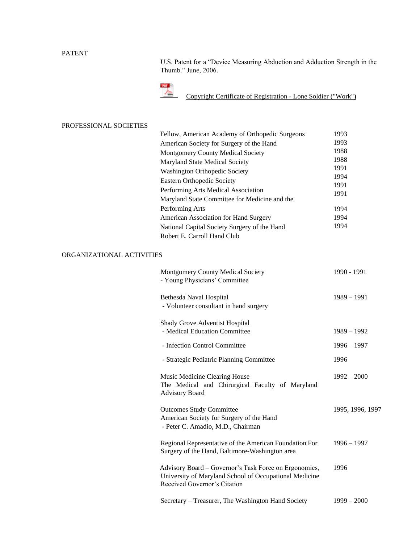# PATENT

U.S. Patent for a "Device Measuring Abduction and Adduction Strength in the Thumb." June, 2006.



[Copyright](http://www.leohanddoc.com/pdf/certificate-of-registration-may-2016.pdf) [Certificate](http://www.leohanddoc.com/pdf/certificate-of-registration-may-2016.pdf) [of](http://www.leohanddoc.com/pdf/certificate-of-registration-may-2016.pdf) [Registration](http://www.leohanddoc.com/pdf/certificate-of-registration-may-2016.pdf) [-](http://www.leohanddoc.com/pdf/certificate-of-registration-may-2016.pdf) [Lone](http://www.leohanddoc.com/pdf/certificate-of-registration-may-2016.pdf) [Soldier](http://www.leohanddoc.com/pdf/certificate-of-registration-may-2016.pdf) [\("Work"\)](http://www.leohanddoc.com/pdf/certificate-of-registration-may-2016.pdf)

### PROFESSIONAL SOCIETIES

| Fellow, American Academy of Orthopedic Surgeons | 1993 |
|-------------------------------------------------|------|
| American Society for Surgery of the Hand        | 1993 |
| <b>Montgomery County Medical Society</b>        | 1988 |
| Maryland State Medical Society                  | 1988 |
| <b>Washington Orthopedic Society</b>            | 1991 |
| <b>Eastern Orthopedic Society</b>               | 1994 |
|                                                 | 1991 |
| Performing Arts Medical Association             | 1991 |
| Maryland State Committee for Medicine and the   |      |
| Performing Arts                                 | 1994 |
| American Association for Hand Surgery           | 1994 |
| National Capital Society Surgery of the Hand    | 1994 |
| Robert E. Carroll Hand Club                     |      |

# ORGANIZATIONAL ACTIVITIES

| <b>Montgomery County Medical Society</b><br>- Young Physicians' Committee                                                                       | 1990 - 1991      |
|-------------------------------------------------------------------------------------------------------------------------------------------------|------------------|
| Bethesda Naval Hospital<br>- Volunteer consultant in hand surgery                                                                               | $1989 - 1991$    |
| Shady Grove Adventist Hospital<br>- Medical Education Committee                                                                                 | $1989 - 1992$    |
| - Infection Control Committee                                                                                                                   | $1996 - 1997$    |
| - Strategic Pediatric Planning Committee                                                                                                        | 1996             |
| Music Medicine Clearing House<br>The Medical and Chirurgical Faculty of Maryland<br><b>Advisory Board</b>                                       | $1992 - 2000$    |
| <b>Outcomes Study Committee</b><br>American Society for Surgery of the Hand<br>- Peter C. Amadio, M.D., Chairman                                | 1995, 1996, 1997 |
| Regional Representative of the American Foundation For<br>Surgery of the Hand, Baltimore-Washington area                                        | $1996 - 1997$    |
| Advisory Board – Governor's Task Force on Ergonomics,<br>University of Maryland School of Occupational Medicine<br>Received Governor's Citation | 1996             |
| Secretary – Treasurer, The Washington Hand Society                                                                                              | $1999 - 2000$    |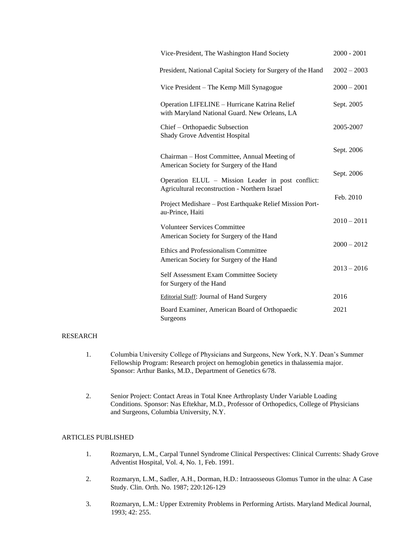| Vice-President, The Washington Hand Society                                                        | $2000 - 2001$ |
|----------------------------------------------------------------------------------------------------|---------------|
| President, National Capital Society for Surgery of the Hand                                        | $2002 - 2003$ |
| Vice President – The Kemp Mill Synagogue                                                           | $2000 - 2001$ |
| Operation LIFELINE – Hurricane Katrina Relief<br>with Maryland National Guard. New Orleans, LA     | Sept. 2005    |
| Chief - Orthopaedic Subsection<br>Shady Grove Adventist Hospital                                   | 2005-2007     |
| Chairman - Host Committee, Annual Meeting of                                                       | Sept. 2006    |
| American Society for Surgery of the Hand                                                           | Sept. 2006    |
| Operation ELUL - Mission Leader in post conflict:<br>Agricultural reconstruction - Northern Israel |               |
| Project Medishare - Post Earthquake Relief Mission Port-<br>au-Prince, Haiti                       | Feb. 2010     |
| <b>Volunteer Services Committee</b>                                                                | $2010 - 2011$ |
| American Society for Surgery of the Hand                                                           | $2000 - 2012$ |
| Ethics and Professionalism Committee<br>American Society for Surgery of the Hand                   |               |
| Self Assessment Exam Committee Society<br>for Surgery of the Hand                                  | $2013 - 2016$ |
| Editorial Staff: Journal of Hand Surgery                                                           | 2016          |
| Board Examiner, American Board of Orthopaedic<br>Surgeons                                          | 2021          |

### RESEARCH

- 1. Columbia University College of Physicians and Surgeons, New York, N.Y. Dean's Summer Fellowship Program: Research project on hemoglobin genetics in thalassemia major. Sponsor: Arthur Banks, M.D., Department of Genetics 6/78.
- 2. Senior Project: Contact Areas in Total Knee Arthroplasty Under Variable Loading Conditions. Sponsor: Nas Eftekhar, M.D., Professor of Orthopedics, College of Physicians and Surgeons, Columbia University, N.Y.

### ARTICLES PUBLISHED

- 1. Rozmaryn, L.M., Carpal Tunnel Syndrome Clinical Perspectives: Clinical Currents: Shady Grove Adventist Hospital, Vol. 4, No. 1, Feb. 1991.
- 2. Rozmaryn, L.M., Sadler, A.H., Dorman, H.D.: Intraosseous Glomus Tumor in the ulna: A Case Study. Clin. Orth. No. 1987; 220:126-129
- 3. Rozmaryn, L.M.: Upper Extremity Problems in Performing Artists. Maryland Medical Journal, 1993; 42: 255.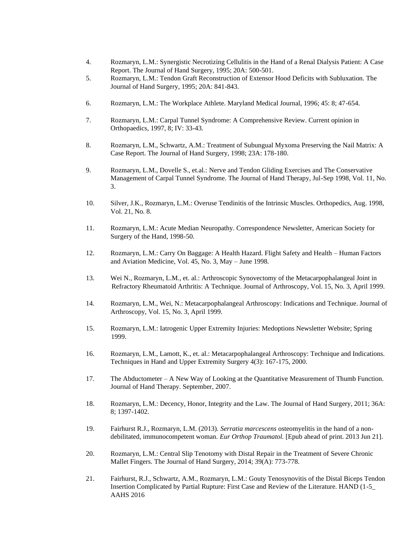- 4. Rozmaryn, L.M.: Synergistic Necrotizing Cellulitis in the Hand of a Renal Dialysis Patient: A Case Report. The Journal of Hand Surgery, 1995; 20A: 500-501.
- 5. Rozmaryn, L.M.: Tendon Graft Reconstruction of Extensor Hood Deficits with Subluxation. The Journal of Hand Surgery, 1995; 20A: 841-843.
- 6. Rozmaryn, L.M.: The Workplace Athlete. Maryland Medical Journal, 1996; 45: 8; 47-654.
- 7. Rozmaryn, L.M.: Carpal Tunnel Syndrome: A Comprehensive Review. Current opinion in Orthopaedics, 1997, 8; IV: 33-43.
- 8. Rozmaryn, L.M., Schwartz, A.M.: Treatment of Subungual Myxoma Preserving the Nail Matrix: A Case Report. The Journal of Hand Surgery, 1998; 23A: 178-180.
- 9. Rozmaryn, L.M., Dovelle S., et.al.: Nerve and Tendon Gliding Exercises and The Conservative Management of Carpal Tunnel Syndrome. The Journal of Hand Therapy, Jul-Sep 1998, Vol. 11, No. 3.
- 10. Silver, J.K., Rozmaryn, L.M.: Overuse Tendinitis of the Intrinsic Muscles. Orthopedics, Aug. 1998, Vol. 21, No. 8.
- 11. Rozmaryn, L.M.: Acute Median Neuropathy. Correspondence Newsletter, American Society for Surgery of the Hand, 1998-50.
- 12. Rozmaryn, L.M.: Carry On Baggage: A Health Hazard. Flight Safety and Health Human Factors and Aviation Medicine, Vol. 45, No. 3, May – June 1998.
- 13. Wei N., Rozmaryn, L.M., et. al.: Arthroscopic Synovectomy of the Metacarpophalangeal Joint in Refractory Rheumatoid Arthritis: A Technique. Journal of Arthroscopy, Vol. 15, No. 3, April 1999.
- 14. Rozmaryn, L.M., Wei, N.: Metacarpophalangeal Arthroscopy: Indications and Technique. Journal of Arthroscopy, Vol. 15, No. 3, April 1999.
- 15. Rozmaryn, L.M.: Iatrogenic Upper Extremity Injuries: Medoptions Newsletter Website; Spring 1999.
- 16. Rozmaryn, L.M., Lamott, K., et. al.: Metacarpophalangeal Arthroscopy: Technique and Indications. Techniques in Hand and Upper Extremity Surgery 4(3): 167-175, 2000.
- 17. The Abductometer A New Way of Looking at the Quantitative Measurement of Thumb Function. Journal of Hand Therapy. September, 2007.
- 18. Rozmaryn, L.M.: Decency, Honor, Integrity and the Law. The Journal of Hand Surgery, 2011; 36A: 8; 1397-1402.
- 19. Fairhurst R.J., Rozmaryn, L.M. (2013). *Serratia marcescens* osteomyelitis in the hand of a nondebilitated, immunocompetent woman. *Eur Orthop Traumatol.* [Epub ahead of print. 2013 Jun 21].
- 20. Rozmaryn, L.M.: Central Slip Tenotomy with Distal Repair in the Treatment of Severe Chronic Mallet Fingers. The Journal of Hand Surgery, 2014; 39(A): 773-778.
- 21. Fairhurst, R.J., Schwartz, A.M., Rozmaryn, L.M.: Gouty Tenosynovitis of the Distal Biceps Tendon Insertion Complicated by Partial Rupture: First Case and Review of the Literature. HAND (1-5\_ AAHS 2016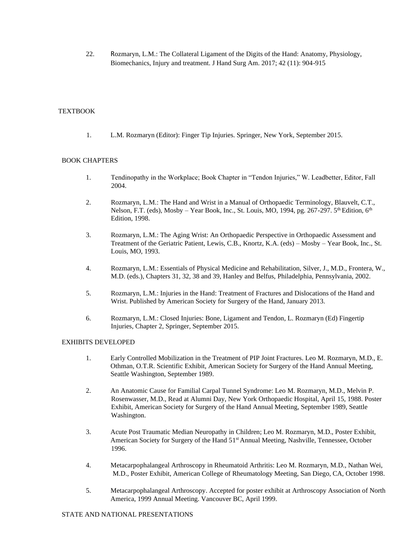22. Rozmaryn, L.M.: The Collateral Ligament of the Digits of the Hand: Anatomy, Physiology, Biomechanics, Injury and treatment. J Hand Surg Am. 2017; 42 (11): 904-915

### **TEXTBOOK**

1. L.M. Rozmaryn (Editor): Finger Tip Injuries. Springer, New York, September 2015.

### BOOK CHAPTERS

- 1. Tendinopathy in the Workplace; Book Chapter in "Tendon Injuries," W. Leadbetter, Editor, Fall 2004.
- 2. Rozmaryn, L.M.: The Hand and Wrist in a Manual of Orthopaedic Terminology, Blauvelt, C.T., Nelson, F.T. (eds), Mosby – Year Book, Inc., St. Louis, MO, 1994, pg. 267-297.  $5<sup>th</sup>$  Edition,  $6<sup>th</sup>$ Edition, 1998.
- 3. Rozmaryn, L.M.: The Aging Wrist: An Orthopaedic Perspective in Orthopaedic Assessment and Treatment of the Geriatric Patient, Lewis, C.B., Knortz, K.A. (eds) – Mosby – Year Book, Inc., St. Louis, MO, 1993.
- 4. Rozmaryn, L.M.: Essentials of Physical Medicine and Rehabilitation, Silver, J., M.D., Frontera, W., M.D. (eds.), Chapters 31, 32, 38 and 39, Hanley and Belfus, Philadelphia, Pennsylvania, 2002.
- 5. Rozmaryn, L.M.: Injuries in the Hand: Treatment of Fractures and Dislocations of the Hand and Wrist. Published by American Society for Surgery of the Hand, January 2013.
- 6. Rozmaryn, L.M.: Closed Injuries: Bone, Ligament and Tendon, L. Rozmaryn (Ed) Fingertip Injuries, Chapter 2, Springer, September 2015.

#### EXHIBITS DEVELOPED

- 1. Early Controlled Mobilization in the Treatment of PIP Joint Fractures. Leo M. Rozmaryn, M.D., E. Othman, O.T.R. Scientific Exhibit, American Society for Surgery of the Hand Annual Meeting, Seattle Washington, September 1989.
- 2. An Anatomic Cause for Familial Carpal Tunnel Syndrome: Leo M. Rozmaryn, M.D., Melvin P. Rosenwasser, M.D., Read at Alumni Day, New York Orthopaedic Hospital, April 15, 1988. Poster Exhibit, American Society for Surgery of the Hand Annual Meeting, September 1989, Seattle Washington.
- 3. Acute Post Traumatic Median Neuropathy in Children; Leo M. Rozmaryn, M.D., Poster Exhibit, American Society for Surgery of the Hand 51<sup>st</sup> Annual Meeting, Nashville, Tennessee, October 1996.
- 4. Metacarpophalangeal Arthroscopy in Rheumatoid Arthritis: Leo M. Rozmaryn, M.D., Nathan Wei, M.D., Poster Exhibit, American College of Rheumatology Meeting, San Diego, CA, October 1998.
- 5. Metacarpophalangeal Arthroscopy. Accepted for poster exhibit at Arthroscopy Association of North America, 1999 Annual Meeting. Vancouver BC, April 1999.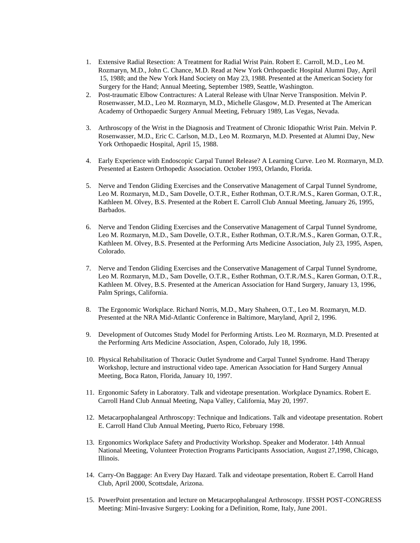- 1. Extensive Radial Resection: A Treatment for Radial Wrist Pain. Robert E. Carroll, M.D., Leo M. Rozmaryn, M.D., John C. Chance, M.D. Read at New York Orthopaedic Hospital Alumni Day, April 15, 1988; and the New York Hand Society on May 23, 1988. Presented at the American Society for Surgery for the Hand; Annual Meeting, September 1989, Seattle, Washington.
- 2. Post-traumatic Elbow Contractures: A Lateral Release with Ulnar Nerve Transposition. Melvin P. Rosenwasser, M.D., Leo M. Rozmaryn, M.D., Michelle Glasgow, M.D. Presented at The American Academy of Orthopaedic Surgery Annual Meeting, February 1989, Las Vegas, Nevada.
- 3. Arthroscopy of the Wrist in the Diagnosis and Treatment of Chronic Idiopathic Wrist Pain. Melvin P. Rosenwasser, M.D., Eric C. Carlson, M.D., Leo M. Rozmaryn, M.D. Presented at Alumni Day, New York Orthopaedic Hospital, April 15, 1988.
- 4. Early Experience with Endoscopic Carpal Tunnel Release? A Learning Curve. Leo M. Rozmaryn, M.D. Presented at Eastern Orthopedic Association. October 1993, Orlando, Florida.
- 5. Nerve and Tendon Gliding Exercises and the Conservative Management of Carpal Tunnel Syndrome, Leo M. Rozmaryn, M.D., Sam Dovelle, O.T.R., Esther Rothman, O.T.R./M.S., Karen Gorman, O.T.R., Kathleen M. Olvey, B.S. Presented at the Robert E. Carroll Club Annual Meeting, January 26, 1995, Barbados.
- 6. Nerve and Tendon Gliding Exercises and the Conservative Management of Carpal Tunnel Syndrome, Leo M. Rozmaryn, M.D., Sam Dovelle, O.T.R., Esther Rothman, O.T.R./M.S., Karen Gorman, O.T.R., Kathleen M. Olvey, B.S. Presented at the Performing Arts Medicine Association, July 23, 1995, Aspen, Colorado.
- 7. Nerve and Tendon Gliding Exercises and the Conservative Management of Carpal Tunnel Syndrome, Leo M. Rozmaryn, M.D., Sam Dovelle, O.T.R., Esther Rothman, O.T.R./M.S., Karen Gorman, O.T.R., Kathleen M. Olvey, B.S. Presented at the American Association for Hand Surgery, January 13, 1996, Palm Springs, California.
- 8. The Ergonomic Workplace. Richard Norris, M.D., Mary Shaheen, O.T., Leo M. Rozmaryn, M.D. Presented at the NRA Mid-Atlantic Conference in Baltimore, Maryland, April 2, 1996.
- 9. Development of Outcomes Study Model for Performing Artists. Leo M. Rozmaryn, M.D. Presented at the Performing Arts Medicine Association, Aspen, Colorado, July 18, 1996.
- 10. Physical Rehabilitation of Thoracic Outlet Syndrome and Carpal Tunnel Syndrome. Hand Therapy Workshop, lecture and instructional video tape. American Association for Hand Surgery Annual Meeting, Boca Raton, Florida, January 10, 1997.
- 11. Ergonomic Safety in Laboratory. Talk and videotape presentation. Workplace Dynamics. Robert E. Carroll Hand Club Annual Meeting, Napa Valley, California, May 20, 1997.
- 12. Metacarpophalangeal Arthroscopy: Technique and Indications. Talk and videotape presentation. Robert E. Carroll Hand Club Annual Meeting, Puerto Rico, February 1998.
- 13. Ergonomics Workplace Safety and Productivity Workshop. Speaker and Moderator. 14th Annual National Meeting, Volunteer Protection Programs Participants Association, August 27,1998, Chicago, Illinois.
- 14. Carry-On Baggage: An Every Day Hazard. Talk and videotape presentation, Robert E. Carroll Hand Club, April 2000, Scottsdale, Arizona.
- 15. PowerPoint presentation and lecture on Metacarpophalangeal Arthroscopy. IFSSH POST-CONGRESS Meeting: Mini-Invasive Surgery: Looking for a Definition, Rome, Italy, June 2001.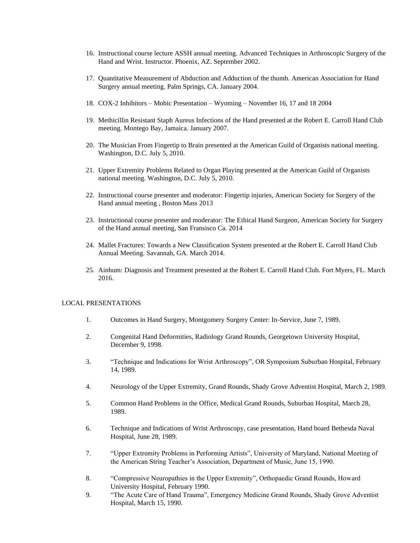- 16. Instructional course lecture ASSH annual meeting. Advanced Techniques in Arthroscopic Surgery of the Hand and Wrist. Instructor. Phoenix, AZ. September 2002.
- 17. Quantitative Measurement of Abduction and Adduction of the thumb. American Association for Hand Surgery annual meeting. Palm Springs, CA. January 2004.
- 18. COX-2 Inhibitors Mobic Presentation Wyoming November 16, 17 and 18 2004
- 19. Methicillin Resistant Staph Aureus Infections of the Hand presented at the Robert E. Carroll Hand Club meeting. Montego Bay, Jamaica. January 2007.
- 20. The Musician From Fingertip to Brain presented at the American Guild of Organists national meeting. Washington, D.C. July 5, 2010.
- 21. Upper Extremity Problems Related to Organ Playing presented at the American Guild of Organists national meeting. Washington, D.C. July 5, 2010.
- 22. Instructional course presenter and moderator: Fingertip injuries, American Society for Surgery of the Hand annual meeting , Boston Mass 2013
- 23. Instructional course presenter and moderator: The Ethical Hand Surgeon, American Society for Surgery of the Hand annual meeting, San Fransisco Ca. 2014
- 24. Mallet Fractures: Towards a New Classification System presented at the Robert E. Carroll Hand Club Annual Meeting. Savannah, GA. March 2014.
- 25. Ainhum: Diagnosis and Treatment presented at the Robert E. Carroll Hand Club. Fort Myers, FL. March 2016.

#### LOCAL PRESENTATIONS

- 1. Outcomes in Hand Surgery, Montgomery Surgery Center: In-Service, June 7, 1989.
- 2. Congenital Hand Deformities, Radiology Grand Rounds, Georgetown University Hospital, December 9, 1998.
- 3. "Technique and Indications for Wrist Arthroscopy", OR Symposium Suburban Hospital, February 14, 1989.
- 4. Neurology of the Upper Extremity, Grand Rounds, Shady Grove Adventist Hospital, March 2, 1989.
- 5. Common Hand Problems in the Office, Medical Grand Rounds, Suburban Hospital, March 28, 1989.
- 6. Technique and Indications of Wrist Arthroscopy, case presentation, Hand board Bethesda Naval Hospital, June 28, 1989.
- 7. "Upper Extremity Problems in Performing Artists", University of Maryland, National Meeting of the American String Teacher's Association, Department of Music, June 15, 1990.
- 8. "Compressive Neuropathies in the Upper Extremity", Orthopaedic Grand Rounds, Howard University Hospital, February 1990.
- 9. "The Acute Care of Hand Trauma", Emergency Medicine Grand Rounds, Shady Grove Adventist Hospital, March 15, 1990.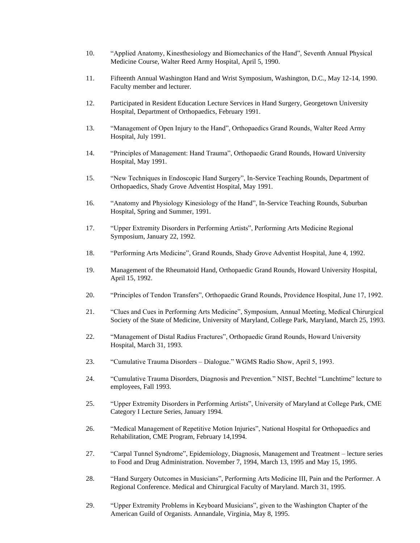- 10. "Applied Anatomy, Kinesthesiology and Biomechanics of the Hand", Seventh Annual Physical Medicine Course, Walter Reed Army Hospital, April 5, 1990.
- 11. Fifteenth Annual Washington Hand and Wrist Symposium, Washington, D.C., May 12-14, 1990. Faculty member and lecturer.
- 12. Participated in Resident Education Lecture Services in Hand Surgery, Georgetown University Hospital, Department of Orthopaedics, February 1991.
- 13. "Management of Open Injury to the Hand", Orthopaedics Grand Rounds, Walter Reed Army Hospital, July 1991.
- 14. "Principles of Management: Hand Trauma", Orthopaedic Grand Rounds, Howard University Hospital, May 1991.
- 15. "New Techniques in Endoscopic Hand Surgery", In-Service Teaching Rounds, Department of Orthopaedics, Shady Grove Adventist Hospital, May 1991.
- 16. "Anatomy and Physiology Kinesiology of the Hand", In-Service Teaching Rounds, Suburban Hospital, Spring and Summer, 1991.
- 17. "Upper Extremity Disorders in Performing Artists", Performing Arts Medicine Regional Symposium, January 22, 1992.
- 18. "Performing Arts Medicine", Grand Rounds, Shady Grove Adventist Hospital, June 4, 1992.
- 19. Management of the Rheumatoid Hand, Orthopaedic Grand Rounds, Howard University Hospital, April 15, 1992.
- 20. "Principles of Tendon Transfers", Orthopaedic Grand Rounds, Providence Hospital, June 17, 1992.
- 21. "Clues and Cues in Performing Arts Medicine", Symposium, Annual Meeting, Medical Chirurgical Society of the State of Medicine, University of Maryland, College Park, Maryland, March 25, 1993.
- 22. "Management of Distal Radius Fractures", Orthopaedic Grand Rounds, Howard University Hospital, March 31, 1993.
- 23. "Cumulative Trauma Disorders Dialogue." WGMS Radio Show, April 5, 1993.
- 24. "Cumulative Trauma Disorders, Diagnosis and Prevention." NIST, Bechtel "Lunchtime" lecture to employees, Fall 1993.
- 25. "Upper Extremity Disorders in Performing Artists", University of Maryland at College Park, CME Category I Lecture Series, January 1994.
- 26. "Medical Management of Repetitive Motion Injuries", National Hospital for Orthopaedics and Rehabilitation, CME Program, February 14,1994.
- 27. "Carpal Tunnel Syndrome", Epidemiology, Diagnosis, Management and Treatment lecture series to Food and Drug Administration. November 7, 1994, March 13, 1995 and May 15, 1995.
- 28. "Hand Surgery Outcomes in Musicians", Performing Arts Medicine III, Pain and the Performer. A Regional Conference. Medical and Chirurgical Faculty of Maryland. March 31, 1995.
- 29. "Upper Extremity Problems in Keyboard Musicians", given to the Washington Chapter of the American Guild of Organists. Annandale, Virginia, May 8, 1995.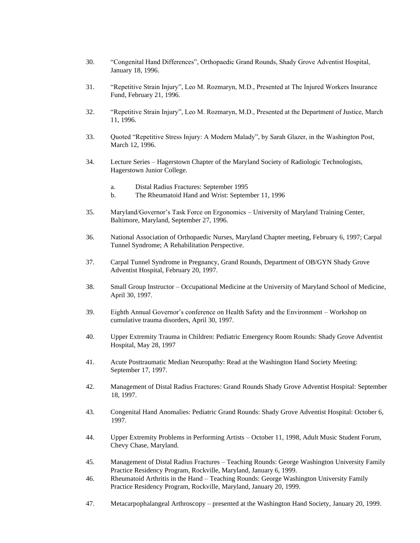- 30. "Congenital Hand Differences", Orthopaedic Grand Rounds, Shady Grove Adventist Hospital, January 18, 1996.
- 31. "Repetitive Strain Injury", Leo M. Rozmaryn, M.D., Presented at The Injured Workers Insurance Fund, February 21, 1996.
- 32. "Repetitive Strain Injury", Leo M. Rozmaryn, M.D., Presented at the Department of Justice, March 11, 1996.
- 33. Quoted "Repetitive Stress Injury: A Modern Malady", by Sarah Glazer, in the Washington Post, March 12, 1996.
- 34. Lecture Series Hagerstown Chapter of the Maryland Society of Radiologic Technologists, Hagerstown Junior College.
	- a. Distal Radius Fractures: September 1995
	- b. The Rheumatoid Hand and Wrist: September 11, 1996
- 35. Maryland/Governor's Task Force on Ergonomics University of Maryland Training Center, Baltimore, Maryland, September 27, 1996.
- 36. National Association of Orthopaedic Nurses, Maryland Chapter meeting, February 6, 1997; Carpal Tunnel Syndrome; A Rehabilitation Perspective.
- 37. Carpal Tunnel Syndrome in Pregnancy, Grand Rounds, Department of OB/GYN Shady Grove Adventist Hospital, February 20, 1997.
- 38. Small Group Instructor Occupational Medicine at the University of Maryland School of Medicine, April 30, 1997.
- 39. Eighth Annual Governor's conference on Health Safety and the Environment Workshop on cumulative trauma disorders, April 30, 1997.
- 40. Upper Extremity Trauma in Children: Pediatric Emergency Room Rounds: Shady Grove Adventist Hospital, May 28, 1997
- 41. Acute Posttraumatic Median Neuropathy: Read at the Washington Hand Society Meeting: September 17, 1997.
- 42. Management of Distal Radius Fractures: Grand Rounds Shady Grove Adventist Hospital: September 18, 1997.
- 43. Congenital Hand Anomalies: Pediatric Grand Rounds: Shady Grove Adventist Hospital: October 6, 1997.
- 44. Upper Extremity Problems in Performing Artists October 11, 1998, Adult Music Student Forum, Chevy Chase, Maryland.
- 45. Management of Distal Radius Fractures Teaching Rounds: George Washington University Family Practice Residency Program, Rockville, Maryland, January 6, 1999.
- 46. Rheumatoid Arthritis in the Hand Teaching Rounds: George Washington University Family Practice Residency Program, Rockville, Maryland, January 20, 1999.
- 47. Metacarpophalangeal Arthroscopy presented at the Washington Hand Society, January 20, 1999.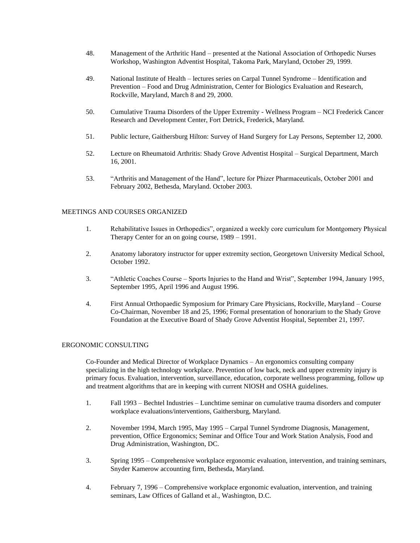- 48. Management of the Arthritic Hand presented at the National Association of Orthopedic Nurses Workshop, Washington Adventist Hospital, Takoma Park, Maryland, October 29, 1999.
- 49. National Institute of Health lectures series on Carpal Tunnel Syndrome Identification and Prevention – Food and Drug Administration, Center for Biologics Evaluation and Research, Rockville, Maryland, March 8 and 29, 2000.
- 50. Cumulative Trauma Disorders of the Upper Extremity Wellness Program NCI Frederick Cancer Research and Development Center, Fort Detrick, Frederick, Maryland.
- 51. Public lecture, Gaithersburg Hilton: Survey of Hand Surgery for Lay Persons, September 12, 2000.
- 52. Lecture on Rheumatoid Arthritis: Shady Grove Adventist Hospital Surgical Department, March 16, 2001.
- 53. "Arthritis and Management of the Hand", lecture for Phizer Pharmaceuticals, October 2001 and February 2002, Bethesda, Maryland. October 2003.

#### MEETINGS AND COURSES ORGANIZED

- 1. Rehabilitative Issues in Orthopedics", organized a weekly core curriculum for Montgomery Physical Therapy Center for an on going course, 1989 – 1991.
- 2. Anatomy laboratory instructor for upper extremity section, Georgetown University Medical School, October 1992.
- 3. "Athletic Coaches Course Sports Injuries to the Hand and Wrist", September 1994, January 1995, September 1995, April 1996 and August 1996.
- 4. First Annual Orthopaedic Symposium for Primary Care Physicians, Rockville, Maryland Course Co-Chairman, November 18 and 25, 1996; Formal presentation of honorarium to the Shady Grove Foundation at the Executive Board of Shady Grove Adventist Hospital, September 21, 1997.

#### ERGONOMIC CONSULTING

Co-Founder and Medical Director of Workplace Dynamics – An ergonomics consulting company specializing in the high technology workplace. Prevention of low back, neck and upper extremity injury is primary focus. Evaluation, intervention, surveillance, education, corporate wellness programming, follow up and treatment algorithms that are in keeping with current NIOSH and OSHA guidelines.

- 1. Fall 1993 Bechtel Industries Lunchtime seminar on cumulative trauma disorders and computer workplace evaluations/interventions, Gaithersburg, Maryland.
- 2. November 1994, March 1995, May 1995 Carpal Tunnel Syndrome Diagnosis, Management, prevention, Office Ergonomics; Seminar and Office Tour and Work Station Analysis, Food and Drug Administration, Washington, DC.
- 3. Spring 1995 Comprehensive workplace ergonomic evaluation, intervention, and training seminars, Snyder Kamerow accounting firm, Bethesda, Maryland.
- 4. February 7, 1996 Comprehensive workplace ergonomic evaluation, intervention, and training seminars, Law Offices of Galland et al., Washington, D.C.